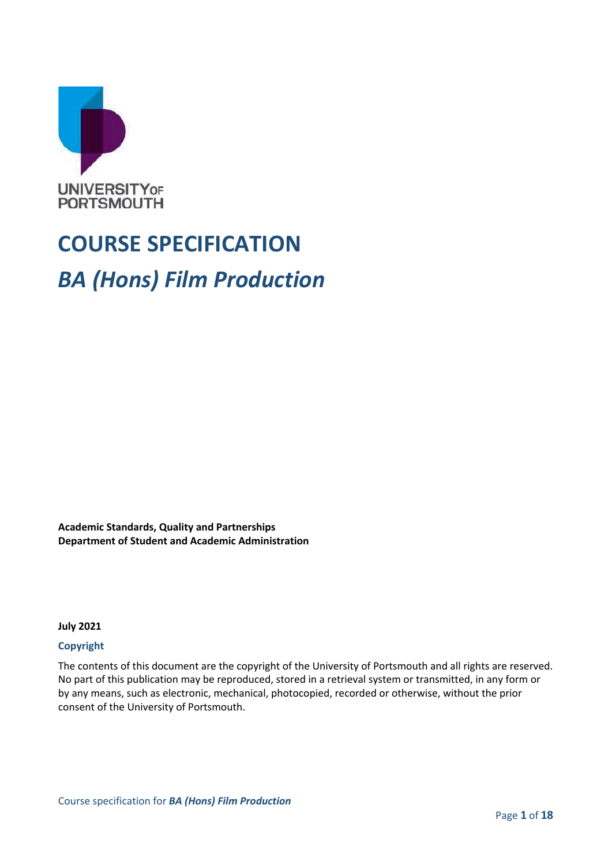

# **COURSE SPECIFICATION** *BA (Hons) Film Production*

**Academic Standards, Quality and Partnerships Department of Student and Academic Administration**

**July 2021**

#### **Copyright**

The contents of this document are the copyright of the University of Portsmouth and all rights are reserved. No part of this publication may be reproduced, stored in a retrieval system or transmitted, in any form or by any means, such as electronic, mechanical, photocopied, recorded or otherwise, without the prior consent of the University of Portsmouth.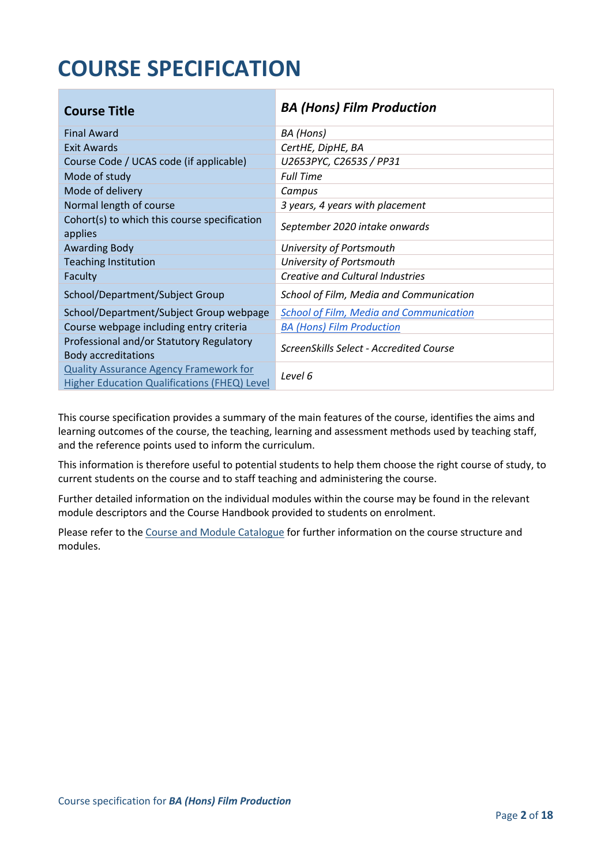## **COURSE SPECIFICATION**

| <b>Course Title</b>                                                                           | <b>BA (Hons) Film Production</b>               |
|-----------------------------------------------------------------------------------------------|------------------------------------------------|
| <b>Final Award</b>                                                                            | BA (Hons)                                      |
| Exit Awards                                                                                   | CertHE, DipHE, BA                              |
| Course Code / UCAS code (if applicable)                                                       | U2653PYC, C2653S / PP31                        |
| Mode of study                                                                                 | <b>Full Time</b>                               |
| Mode of delivery                                                                              | Campus                                         |
| Normal length of course                                                                       | 3 years, 4 years with placement                |
| Cohort(s) to which this course specification<br>applies                                       | September 2020 intake onwards                  |
| <b>Awarding Body</b>                                                                          | University of Portsmouth                       |
| <b>Teaching Institution</b>                                                                   | University of Portsmouth                       |
| Faculty                                                                                       | Creative and Cultural Industries               |
| School/Department/Subject Group                                                               | School of Film, Media and Communication        |
| School/Department/Subject Group webpage                                                       | <b>School of Film, Media and Communication</b> |
| Course webpage including entry criteria                                                       | <b>BA (Hons) Film Production</b>               |
| Professional and/or Statutory Regulatory<br><b>Body accreditations</b>                        | ScreenSkills Select - Accredited Course        |
| <b>Quality Assurance Agency Framework for</b><br>Higher Education Qualifications (FHEQ) Level | Level 6                                        |

This course specification provides a summary of the main features of the course, identifies the aims and learning outcomes of the course, the teaching, learning and assessment methods used by teaching staff, and the reference points used to inform the curriculum.

This information is therefore useful to potential students to help them choose the right course of study, to current students on the course and to staff teaching and administering the course.

Further detailed information on the individual modules within the course may be found in the relevant module descriptors and the Course Handbook provided to students on enrolment.

Please refer to the Course [and Module Catalogue](https://course-module-catalog.port.ac.uk/#/welcome) for further information on the course structure and modules.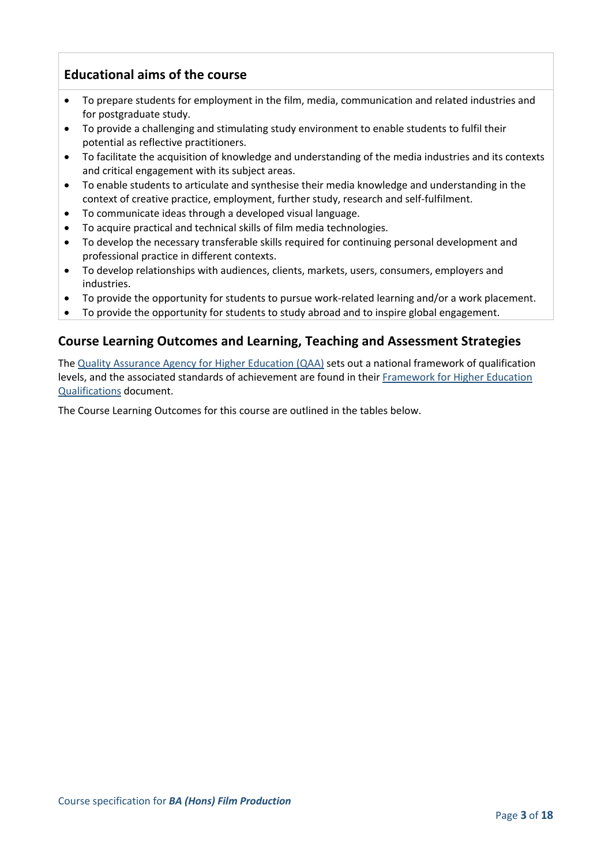## **Educational aims of the course**

- To prepare students for employment in the film, media, communication and related industries and for postgraduate study.
- To provide a challenging and stimulating study environment to enable students to fulfil their potential as reflective practitioners.
- To facilitate the acquisition of knowledge and understanding of the media industries and its contexts and critical engagement with its subject areas.
- To enable students to articulate and synthesise their media knowledge and understanding in the context of creative practice, employment, further study, research and self-fulfilment.
- To communicate ideas through a developed visual language.
- To acquire practical and technical skills of film media technologies.
- To develop the necessary transferable skills required for continuing personal development and professional practice in different contexts.
- To develop relationships with audiences, clients, markets, users, consumers, employers and industries.
- To provide the opportunity for students to pursue work-related learning and/or a work placement.
- To provide the opportunity for students to study abroad and to inspire global engagement.

## **Course Learning Outcomes and Learning, Teaching and Assessment Strategies**

The [Quality Assurance Agency for Higher Education \(QAA\)](http://www.qaa.ac.uk/en) sets out a national framework of qualification levels, and the associated standards of achievement are found in their [Framework for Higher Education](https://www.qaa.ac.uk/quality-code/qualifications-frameworks)  [Qualifications](https://www.qaa.ac.uk/quality-code/qualifications-frameworks) document.

The Course Learning Outcomes for this course are outlined in the tables below.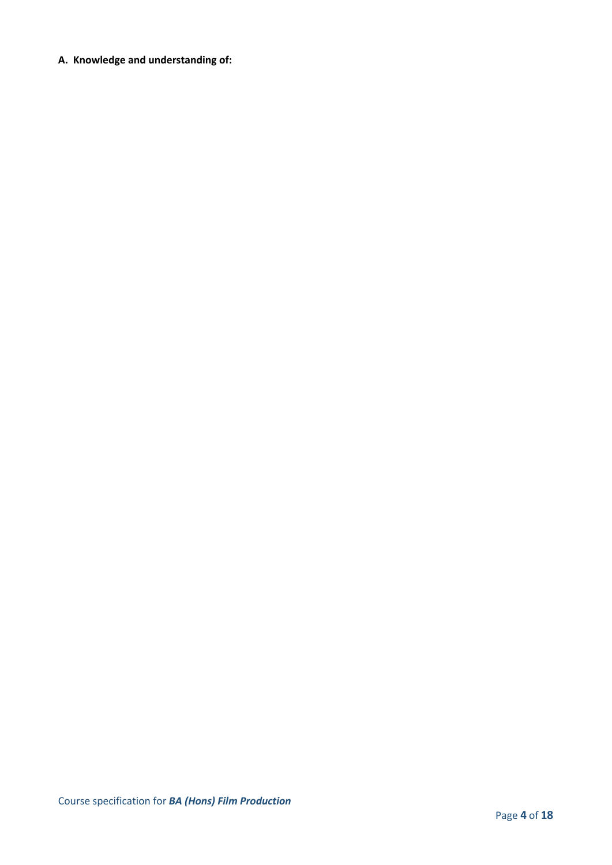**A. Knowledge and understanding of:**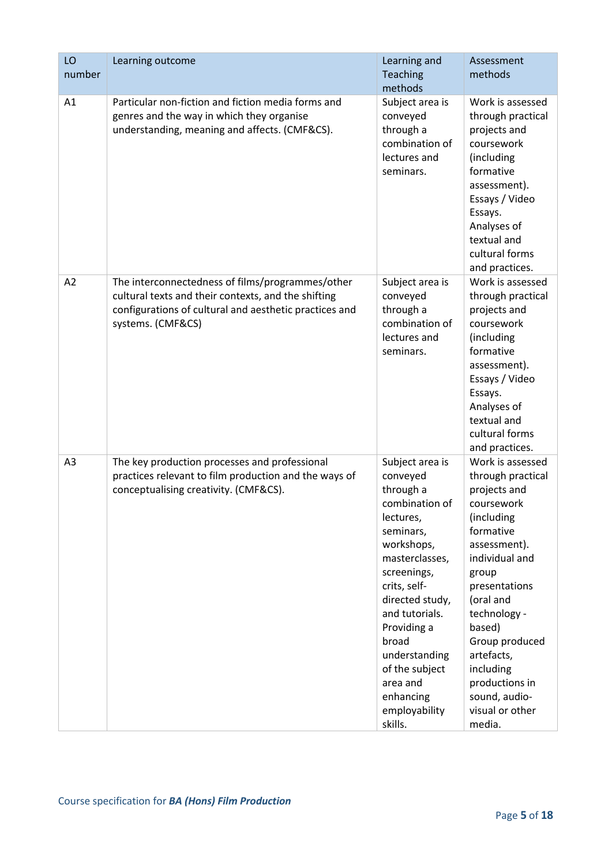| LO             | Learning outcome                                                                                                                                                                       | Learning and                                                                                                                                                                                                                                                                                             | Assessment                                                                                                                                                                                                                                                                                                     |
|----------------|----------------------------------------------------------------------------------------------------------------------------------------------------------------------------------------|----------------------------------------------------------------------------------------------------------------------------------------------------------------------------------------------------------------------------------------------------------------------------------------------------------|----------------------------------------------------------------------------------------------------------------------------------------------------------------------------------------------------------------------------------------------------------------------------------------------------------------|
| number         |                                                                                                                                                                                        | Teaching                                                                                                                                                                                                                                                                                                 | methods                                                                                                                                                                                                                                                                                                        |
|                |                                                                                                                                                                                        | methods                                                                                                                                                                                                                                                                                                  |                                                                                                                                                                                                                                                                                                                |
| A1             | Particular non-fiction and fiction media forms and<br>genres and the way in which they organise<br>understanding, meaning and affects. (CMF&CS).                                       | Subject area is<br>conveyed<br>through a<br>combination of<br>lectures and<br>seminars.                                                                                                                                                                                                                  | Work is assessed<br>through practical<br>projects and<br>coursework<br>(including<br>formative<br>assessment).<br>Essays / Video<br>Essays.<br>Analyses of<br>textual and<br>cultural forms<br>and practices.                                                                                                  |
| A2             | The interconnectedness of films/programmes/other<br>cultural texts and their contexts, and the shifting<br>configurations of cultural and aesthetic practices and<br>systems. (CMF&CS) | Subject area is<br>conveyed<br>through a<br>combination of<br>lectures and<br>seminars.                                                                                                                                                                                                                  | Work is assessed<br>through practical<br>projects and<br>coursework<br>(including<br>formative<br>assessment).<br>Essays / Video<br>Essays.<br>Analyses of<br>textual and<br>cultural forms<br>and practices.                                                                                                  |
| A <sub>3</sub> | The key production processes and professional<br>practices relevant to film production and the ways of<br>conceptualising creativity. (CMF&CS).                                        | Subject area is<br>conveyed<br>through a<br>combination of<br>lectures,<br>seminars,<br>workshops,<br>masterclasses,<br>screenings,<br>crits, self-<br>directed study,<br>and tutorials.<br>Providing a<br>broad<br>understanding<br>of the subject<br>area and<br>enhancing<br>employability<br>skills. | Work is assessed<br>through practical<br>projects and<br>coursework<br>(including<br>formative<br>assessment).<br>individual and<br>group<br>presentations<br>(oral and<br>technology -<br>based)<br>Group produced<br>artefacts,<br>including<br>productions in<br>sound, audio-<br>visual or other<br>media. |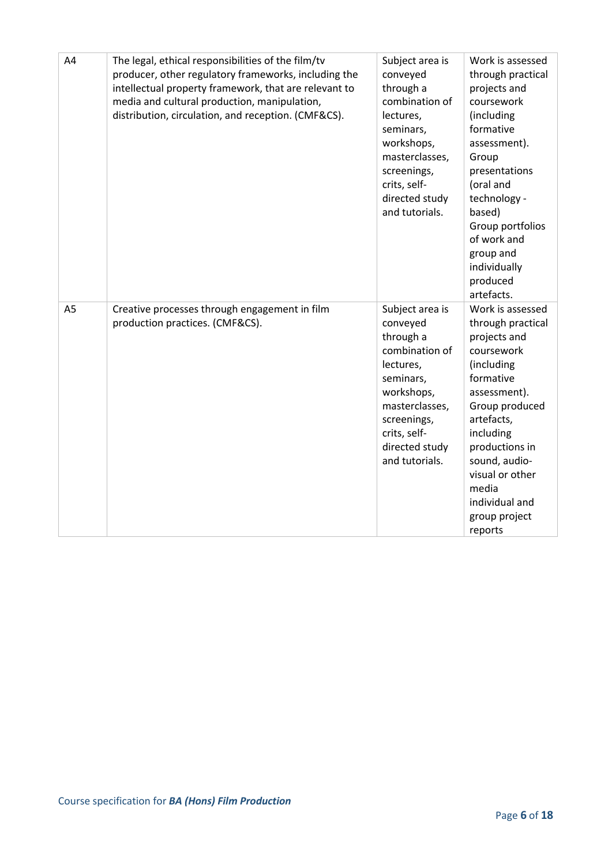| A4             | The legal, ethical responsibilities of the film/tv<br>producer, other regulatory frameworks, including the<br>intellectual property framework, that are relevant to<br>media and cultural production, manipulation,<br>distribution, circulation, and reception. (CMF&CS). | Subject area is<br>conveyed<br>through a<br>combination of<br>lectures,<br>seminars,<br>workshops,<br>masterclasses,<br>screenings,<br>crits, self-<br>directed study<br>and tutorials. | Work is assessed<br>through practical<br>projects and<br>coursework<br>(including<br>formative<br>assessment).<br>Group<br>presentations<br>(oral and<br>technology -<br>based)<br>Group portfolios<br>of work and<br>group and<br>individually<br>produced<br>artefacts. |
|----------------|----------------------------------------------------------------------------------------------------------------------------------------------------------------------------------------------------------------------------------------------------------------------------|-----------------------------------------------------------------------------------------------------------------------------------------------------------------------------------------|---------------------------------------------------------------------------------------------------------------------------------------------------------------------------------------------------------------------------------------------------------------------------|
| A <sub>5</sub> | Creative processes through engagement in film<br>production practices. (CMF&CS).                                                                                                                                                                                           | Subject area is<br>conveyed<br>through a<br>combination of<br>lectures,<br>seminars,<br>workshops,<br>masterclasses,<br>screenings,<br>crits, self-<br>directed study<br>and tutorials. | Work is assessed<br>through practical<br>projects and<br>coursework<br>(including<br>formative<br>assessment).<br>Group produced<br>artefacts,<br>including<br>productions in<br>sound, audio-<br>visual or other<br>media<br>individual and<br>group project<br>reports  |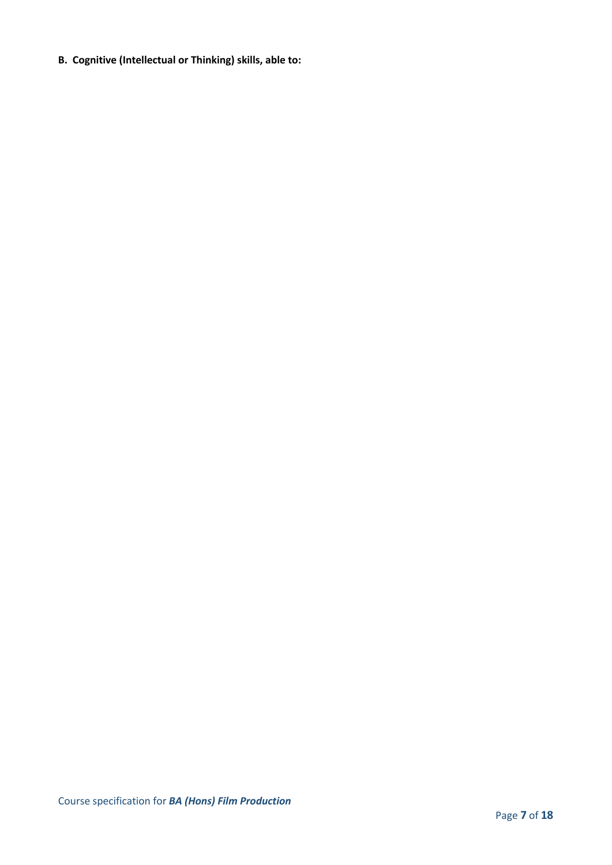**B. Cognitive (Intellectual or Thinking) skills, able to:**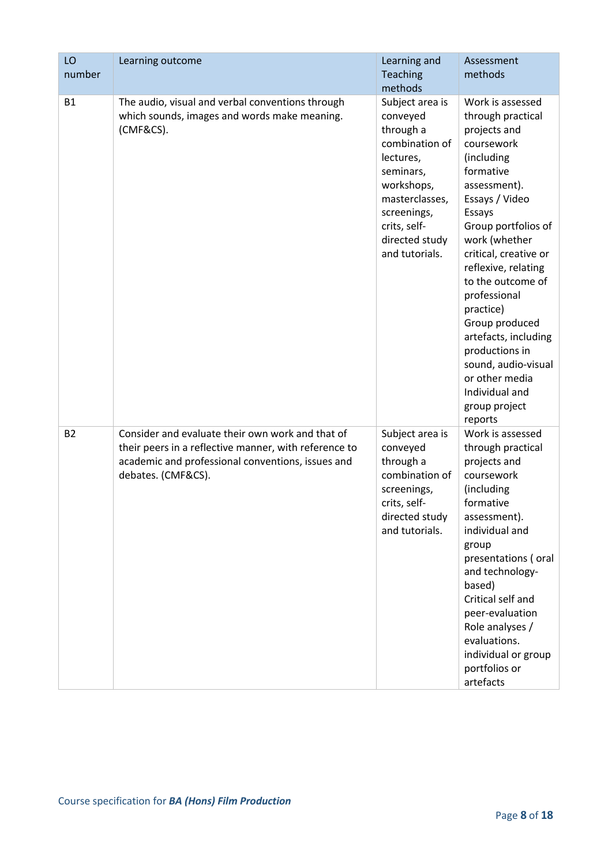| LO        | Learning outcome                                                                                                                                                                     | Learning and                                                                                                                                                                            | Assessment                                                                                                                                                                                                                                                                                                                                                                                                                              |
|-----------|--------------------------------------------------------------------------------------------------------------------------------------------------------------------------------------|-----------------------------------------------------------------------------------------------------------------------------------------------------------------------------------------|-----------------------------------------------------------------------------------------------------------------------------------------------------------------------------------------------------------------------------------------------------------------------------------------------------------------------------------------------------------------------------------------------------------------------------------------|
| number    |                                                                                                                                                                                      | <b>Teaching</b>                                                                                                                                                                         | methods                                                                                                                                                                                                                                                                                                                                                                                                                                 |
|           |                                                                                                                                                                                      | methods                                                                                                                                                                                 |                                                                                                                                                                                                                                                                                                                                                                                                                                         |
| <b>B1</b> | The audio, visual and verbal conventions through<br>which sounds, images and words make meaning.<br>(CMF&CS).                                                                        | Subject area is<br>conveyed<br>through a<br>combination of<br>lectures,<br>seminars,<br>workshops,<br>masterclasses,<br>screenings,<br>crits, self-<br>directed study<br>and tutorials. | Work is assessed<br>through practical<br>projects and<br>coursework<br>(including<br>formative<br>assessment).<br>Essays / Video<br>Essays<br>Group portfolios of<br>work (whether<br>critical, creative or<br>reflexive, relating<br>to the outcome of<br>professional<br>practice)<br>Group produced<br>artefacts, including<br>productions in<br>sound, audio-visual<br>or other media<br>Individual and<br>group project<br>reports |
| <b>B2</b> | Consider and evaluate their own work and that of<br>their peers in a reflective manner, with reference to<br>academic and professional conventions, issues and<br>debates. (CMF&CS). | Subject area is<br>conveyed<br>through a<br>combination of<br>screenings,<br>crits, self-<br>directed study<br>and tutorials.                                                           | Work is assessed<br>through practical<br>projects and<br>coursework<br>(including<br>formative<br>assessment).<br>individual and<br>group<br>presentations (oral<br>and technology-<br>based)<br>Critical self and<br>peer-evaluation<br>Role analyses /<br>evaluations.<br>individual or group<br>portfolios or<br>artefacts                                                                                                           |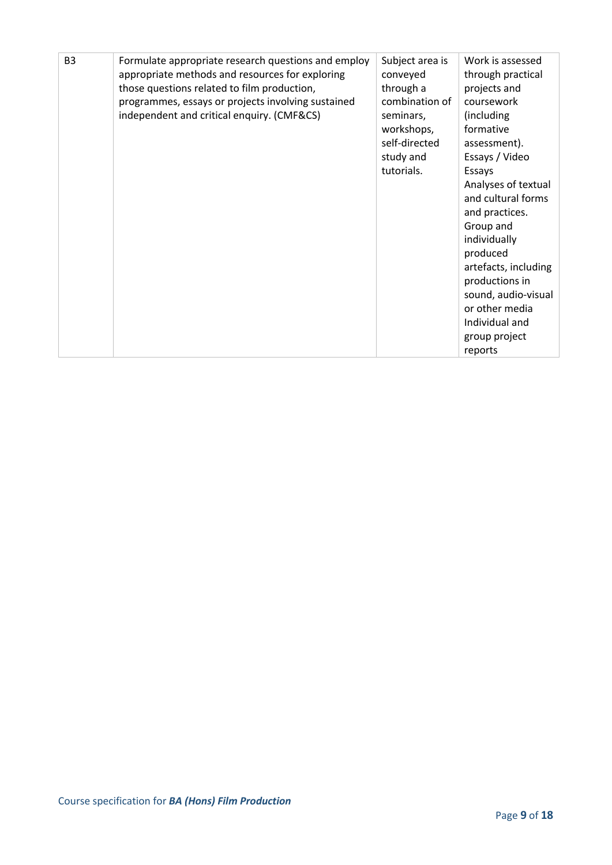| B <sub>3</sub> | Formulate appropriate research questions and employ<br>appropriate methods and resources for exploring<br>those questions related to film production,<br>programmes, essays or projects involving sustained<br>independent and critical enquiry. (CMF&CS) | Subject area is<br>conveyed<br>through a<br>combination of<br>seminars,<br>workshops,<br>self-directed<br>study and<br>tutorials. | Work is assessed<br>through practical<br>projects and<br>coursework<br>(including)<br>formative<br>assessment).<br>Essays / Video<br>Essays<br>Analyses of textual<br>and cultural forms<br>and practices.<br>Group and<br>individually<br>produced |
|----------------|-----------------------------------------------------------------------------------------------------------------------------------------------------------------------------------------------------------------------------------------------------------|-----------------------------------------------------------------------------------------------------------------------------------|-----------------------------------------------------------------------------------------------------------------------------------------------------------------------------------------------------------------------------------------------------|
|                |                                                                                                                                                                                                                                                           |                                                                                                                                   |                                                                                                                                                                                                                                                     |
|                |                                                                                                                                                                                                                                                           |                                                                                                                                   |                                                                                                                                                                                                                                                     |
|                |                                                                                                                                                                                                                                                           |                                                                                                                                   |                                                                                                                                                                                                                                                     |
|                |                                                                                                                                                                                                                                                           |                                                                                                                                   |                                                                                                                                                                                                                                                     |
|                |                                                                                                                                                                                                                                                           |                                                                                                                                   |                                                                                                                                                                                                                                                     |
|                |                                                                                                                                                                                                                                                           |                                                                                                                                   |                                                                                                                                                                                                                                                     |
|                |                                                                                                                                                                                                                                                           |                                                                                                                                   |                                                                                                                                                                                                                                                     |
|                |                                                                                                                                                                                                                                                           |                                                                                                                                   | artefacts, including                                                                                                                                                                                                                                |
|                |                                                                                                                                                                                                                                                           |                                                                                                                                   | productions in                                                                                                                                                                                                                                      |
|                |                                                                                                                                                                                                                                                           |                                                                                                                                   | sound, audio-visual                                                                                                                                                                                                                                 |
|                |                                                                                                                                                                                                                                                           |                                                                                                                                   | or other media                                                                                                                                                                                                                                      |
|                |                                                                                                                                                                                                                                                           |                                                                                                                                   | Individual and                                                                                                                                                                                                                                      |
|                |                                                                                                                                                                                                                                                           |                                                                                                                                   | group project                                                                                                                                                                                                                                       |
|                |                                                                                                                                                                                                                                                           |                                                                                                                                   | reports                                                                                                                                                                                                                                             |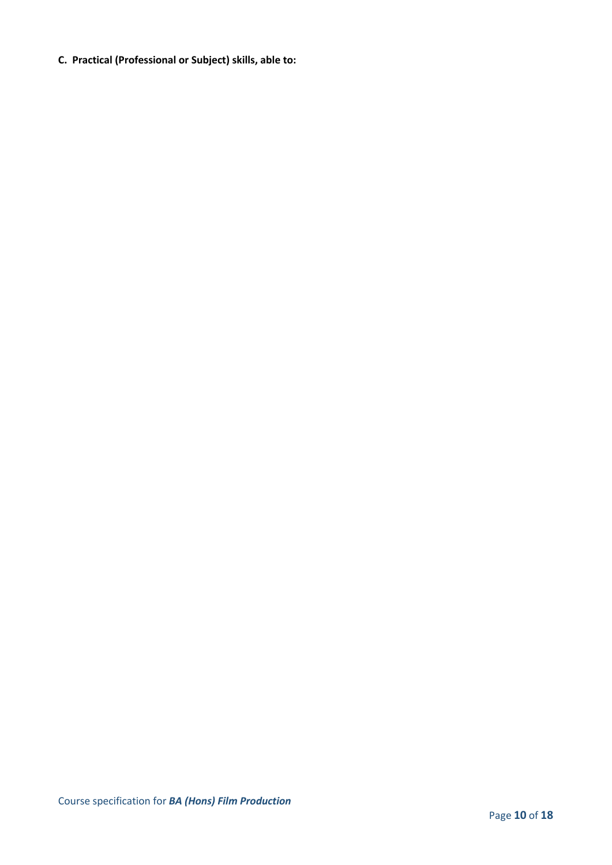**C. Practical (Professional or Subject) skills, able to:**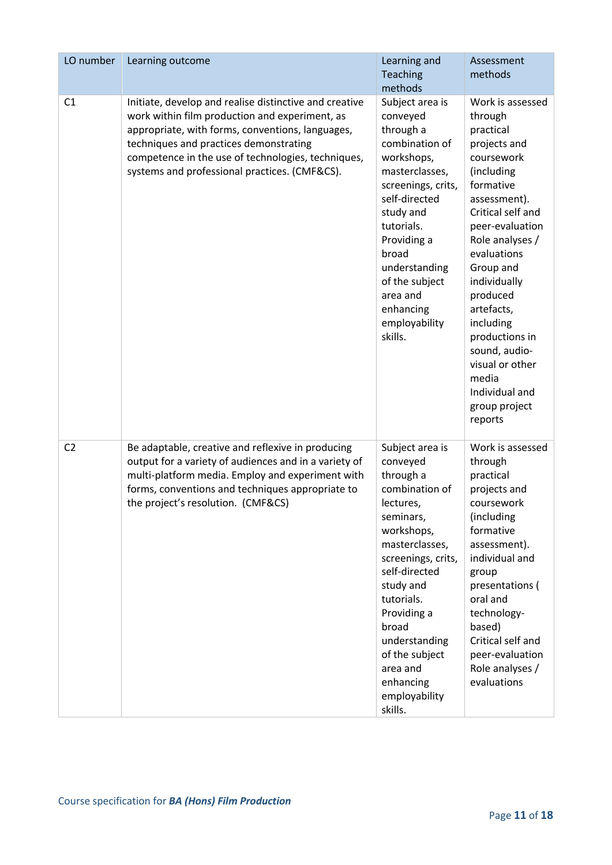| LO number      | Learning outcome                                                                                                                                                                                                                                                                                              | Learning and<br>Teaching                                                                                                                                                                                                                                                                               | Assessment<br>methods                                                                                                                                                                                                                                                                                                                                                        |
|----------------|---------------------------------------------------------------------------------------------------------------------------------------------------------------------------------------------------------------------------------------------------------------------------------------------------------------|--------------------------------------------------------------------------------------------------------------------------------------------------------------------------------------------------------------------------------------------------------------------------------------------------------|------------------------------------------------------------------------------------------------------------------------------------------------------------------------------------------------------------------------------------------------------------------------------------------------------------------------------------------------------------------------------|
|                |                                                                                                                                                                                                                                                                                                               | methods                                                                                                                                                                                                                                                                                                |                                                                                                                                                                                                                                                                                                                                                                              |
| C <sub>1</sub> | Initiate, develop and realise distinctive and creative<br>work within film production and experiment, as<br>appropriate, with forms, conventions, languages,<br>techniques and practices demonstrating<br>competence in the use of technologies, techniques,<br>systems and professional practices. (CMF&CS). | Subject area is<br>conveyed<br>through a<br>combination of<br>workshops,<br>masterclasses,<br>screenings, crits,<br>self-directed<br>study and<br>tutorials.<br>Providing a<br>broad<br>understanding<br>of the subject<br>area and<br>enhancing<br>employability<br>skills.                           | Work is assessed<br>through<br>practical<br>projects and<br>coursework<br>(including<br>formative<br>assessment).<br>Critical self and<br>peer-evaluation<br>Role analyses /<br>evaluations<br>Group and<br>individually<br>produced<br>artefacts,<br>including<br>productions in<br>sound, audio-<br>visual or other<br>media<br>Individual and<br>group project<br>reports |
| C <sub>2</sub> | Be adaptable, creative and reflexive in producing<br>output for a variety of audiences and in a variety of<br>multi-platform media. Employ and experiment with<br>forms, conventions and techniques appropriate to<br>the project's resolution. (CMF&CS)                                                      | Subject area is<br>conveyed<br>through a<br>combination of<br>lectures,<br>seminars,<br>workshops,<br>masterclasses,<br>screenings, crits,<br>self-directed<br>study and<br>tutorials.<br>Providing a<br>broad<br>understanding<br>of the subject<br>area and<br>enhancing<br>employability<br>skills. | Work is assessed<br>through<br>practical<br>projects and<br>coursework<br>(including<br>formative<br>assessment).<br>individual and<br>group<br>presentations (<br>oral and<br>technology-<br>based)<br>Critical self and<br>peer-evaluation<br>Role analyses /<br>evaluations                                                                                               |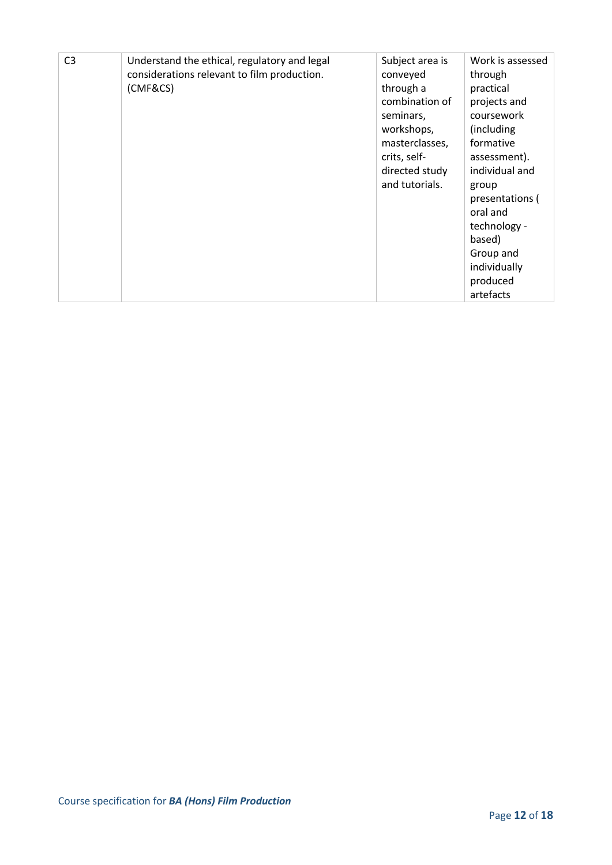| C <sub>3</sub> | Understand the ethical, regulatory and legal<br>considerations relevant to film production.<br>(CMF&CS) | Subject area is<br>conveyed<br>through a<br>combination of<br>seminars,<br>workshops,<br>masterclasses,<br>crits, self-<br>directed study<br>and tutorials. | Work is assessed<br>through<br>practical<br>projects and<br>coursework<br>(including)<br>formative<br>assessment).<br>individual and<br>group<br>presentations (<br>oral and<br>technology -<br>based)<br>Group and<br>individually |
|----------------|---------------------------------------------------------------------------------------------------------|-------------------------------------------------------------------------------------------------------------------------------------------------------------|-------------------------------------------------------------------------------------------------------------------------------------------------------------------------------------------------------------------------------------|
|                |                                                                                                         |                                                                                                                                                             | produced<br>artefacts                                                                                                                                                                                                               |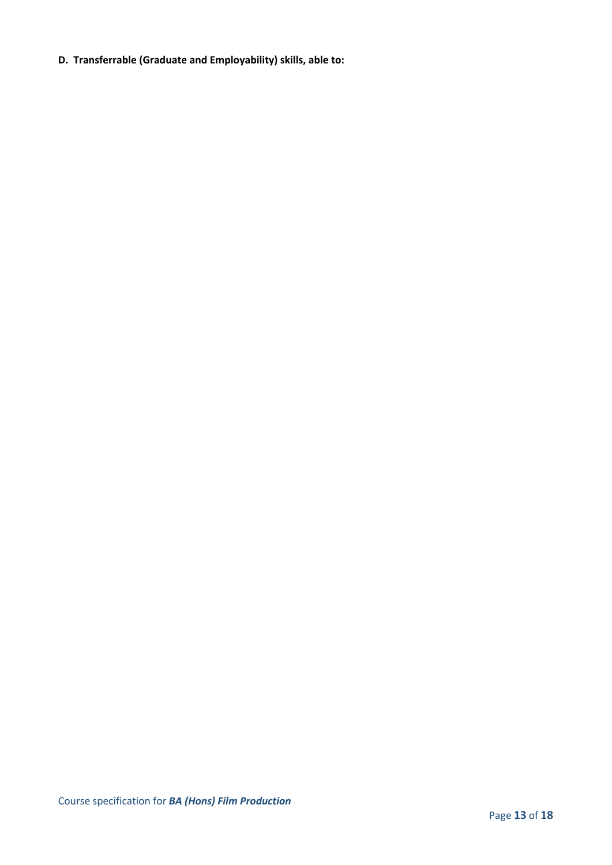**D. Transferrable (Graduate and Employability) skills, able to:**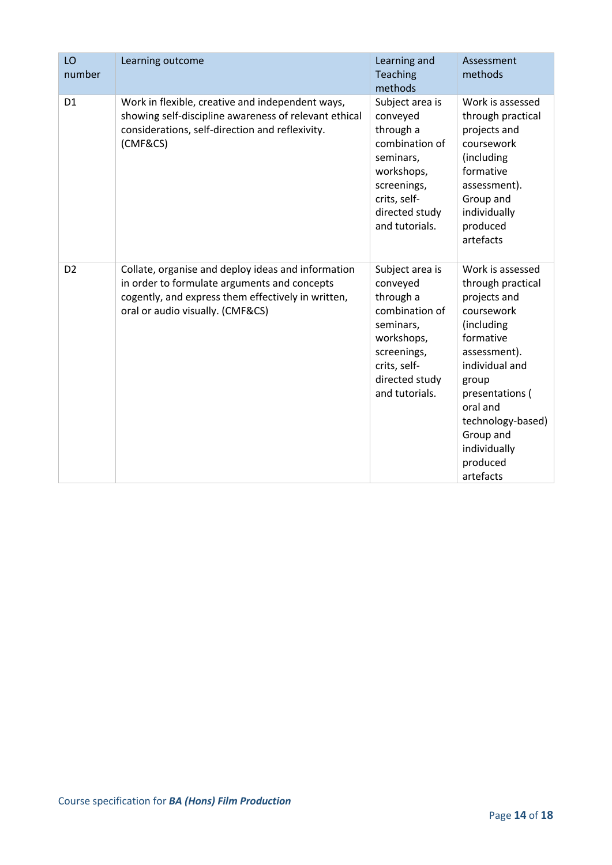| LO<br>number   | Learning outcome                                                                                                                                                                             | Learning and<br><b>Teaching</b><br>methods                                                                                                               | Assessment<br>methods                                                                                                                                                                                                                               |
|----------------|----------------------------------------------------------------------------------------------------------------------------------------------------------------------------------------------|----------------------------------------------------------------------------------------------------------------------------------------------------------|-----------------------------------------------------------------------------------------------------------------------------------------------------------------------------------------------------------------------------------------------------|
| D <sub>1</sub> | Work in flexible, creative and independent ways,<br>showing self-discipline awareness of relevant ethical<br>considerations, self-direction and reflexivity.<br>(CMF&CS)                     | Subject area is<br>conveyed<br>through a<br>combination of<br>seminars,<br>workshops,<br>screenings,<br>crits, self-<br>directed study<br>and tutorials. | Work is assessed<br>through practical<br>projects and<br>coursework<br>(including<br>formative<br>assessment).<br>Group and<br>individually<br>produced<br>artefacts                                                                                |
| D <sub>2</sub> | Collate, organise and deploy ideas and information<br>in order to formulate arguments and concepts<br>cogently, and express them effectively in written,<br>oral or audio visually. (CMF&CS) | Subject area is<br>conveyed<br>through a<br>combination of<br>seminars,<br>workshops,<br>screenings,<br>crits, self-<br>directed study<br>and tutorials. | Work is assessed<br>through practical<br>projects and<br>coursework<br>(including<br>formative<br>assessment).<br>individual and<br>group<br>presentations (<br>oral and<br>technology-based)<br>Group and<br>individually<br>produced<br>artefacts |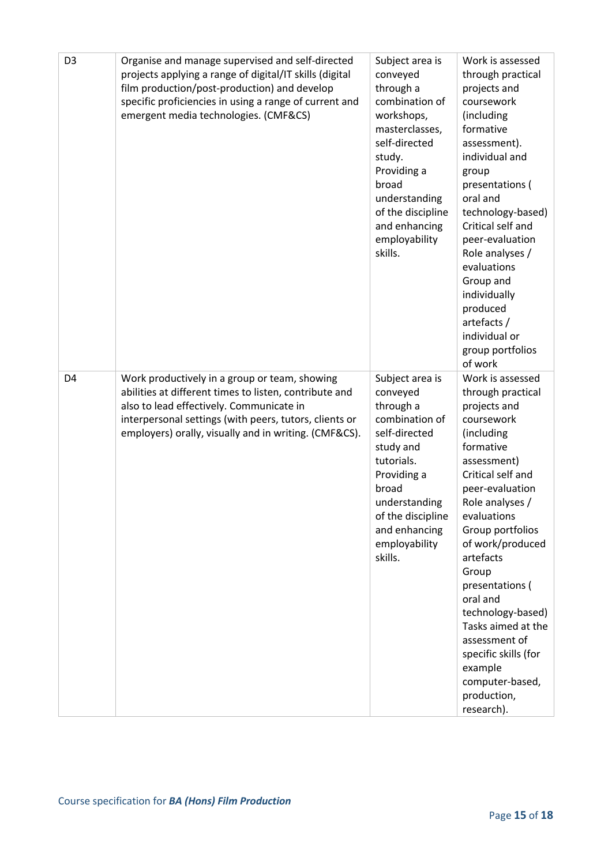| D <sub>3</sub> | Organise and manage supervised and self-directed<br>projects applying a range of digital/IT skills (digital<br>film production/post-production) and develop<br>specific proficiencies in using a range of current and<br>emergent media technologies. (CMF&CS)         | Subject area is<br>conveyed<br>through a<br>combination of<br>workshops,<br>masterclasses,<br>self-directed<br>study.<br>Providing a<br>broad<br>understanding<br>of the discipline<br>and enhancing<br>employability<br>skills. | Work is assessed<br>through practical<br>projects and<br>coursework<br>(including<br>formative<br>assessment).<br>individual and<br>group<br>presentations (<br>oral and<br>technology-based)<br>Critical self and<br>peer-evaluation<br>Role analyses /<br>evaluations<br>Group and<br>individually<br>produced<br>artefacts /<br>individual or<br>group portfolios<br>of work                                                     |
|----------------|------------------------------------------------------------------------------------------------------------------------------------------------------------------------------------------------------------------------------------------------------------------------|----------------------------------------------------------------------------------------------------------------------------------------------------------------------------------------------------------------------------------|-------------------------------------------------------------------------------------------------------------------------------------------------------------------------------------------------------------------------------------------------------------------------------------------------------------------------------------------------------------------------------------------------------------------------------------|
| D <sub>4</sub> | Work productively in a group or team, showing<br>abilities at different times to listen, contribute and<br>also to lead effectively. Communicate in<br>interpersonal settings (with peers, tutors, clients or<br>employers) orally, visually and in writing. (CMF&CS). | Subject area is<br>conveyed<br>through a<br>combination of<br>self-directed<br>study and<br>tutorials.<br>Providing a<br>broad<br>understanding<br>of the discipline<br>and enhancing<br>employability<br>skills.                | Work is assessed<br>through practical<br>projects and<br>coursework<br>(including<br>formative<br>assessment)<br>Critical self and<br>peer-evaluation<br>Role analyses /<br>evaluations<br>Group portfolios<br>of work/produced<br>artefacts<br>Group<br>presentations (<br>oral and<br>technology-based)<br>Tasks aimed at the<br>assessment of<br>specific skills (for<br>example<br>computer-based,<br>production,<br>research). |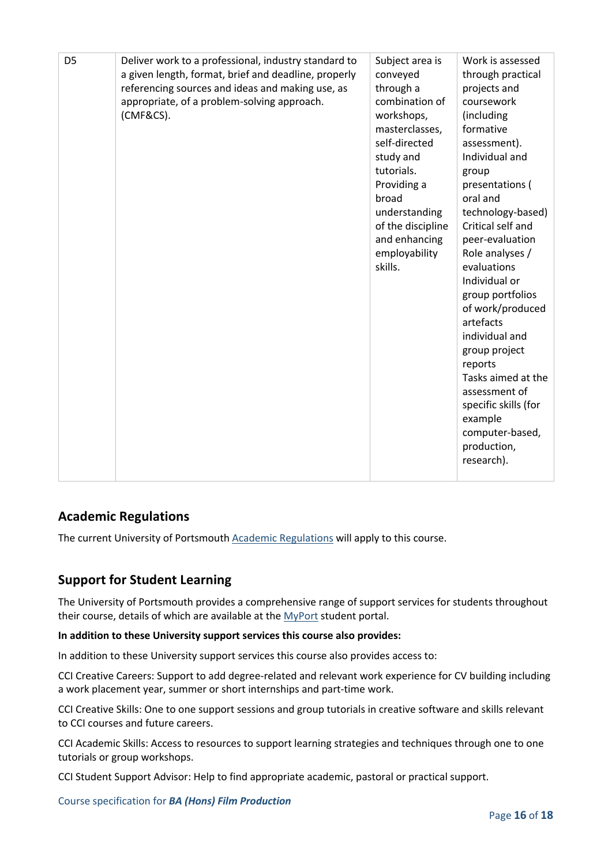| D <sub>5</sub> | Deliver work to a professional, industry standard to<br>a given length, format, brief and deadline, properly<br>referencing sources and ideas and making use, as<br>appropriate, of a problem-solving approach.<br>(CMF&CS). | Subject area is<br>conveyed<br>through a<br>combination of<br>workshops,<br>masterclasses,<br>self-directed<br>study and<br>tutorials.<br>Providing a<br>broad<br>understanding<br>of the discipline<br>and enhancing<br>employability<br>skills. | Work is assessed<br>through practical<br>projects and<br>coursework<br>(including<br>formative<br>assessment).<br>Individual and<br>group<br>presentations (<br>oral and<br>technology-based)<br>Critical self and<br>peer-evaluation<br>Role analyses /<br>evaluations<br>Individual or<br>group portfolios<br>of work/produced<br>artefacts<br>individual and<br>group project<br>reports<br>Tasks aimed at the<br>assessment of<br>specific skills (for<br>example<br>computer-based,<br>production,<br>research). |
|----------------|------------------------------------------------------------------------------------------------------------------------------------------------------------------------------------------------------------------------------|---------------------------------------------------------------------------------------------------------------------------------------------------------------------------------------------------------------------------------------------------|-----------------------------------------------------------------------------------------------------------------------------------------------------------------------------------------------------------------------------------------------------------------------------------------------------------------------------------------------------------------------------------------------------------------------------------------------------------------------------------------------------------------------|

## **Academic Regulations**

The current University of Portsmouth [Academic Regulations](https://staff.port.ac.uk/departments/services/academicregistry/qmd/assessmentandregulations/) will apply to this course.

## **Support for Student Learning**

The University of Portsmouth provides a comprehensive range of support services for students throughout their course, details of which are available at the [MyPort](http://myport.ac.uk/) student portal.

#### **In addition to these University support services this course also provides:**

In addition to these University support services this course also provides access to:

CCI Creative Careers: Support to add degree-related and relevant work experience for CV building including a work placement year, summer or short internships and part-time work.

CCI Creative Skills: One to one support sessions and group tutorials in creative software and skills relevant to CCI courses and future careers.

CCI Academic Skills: Access to resources to support learning strategies and techniques through one to one tutorials or group workshops.

CCI Student Support Advisor: Help to find appropriate academic, pastoral or practical support.

Course specification for *BA (Hons) Film Production*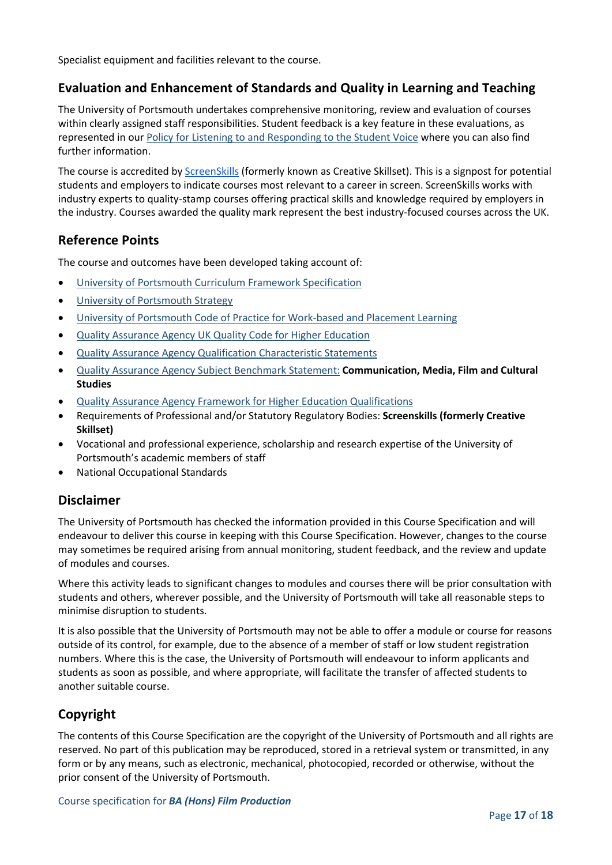Specialist equipment and facilities relevant to the course.

## **Evaluation and Enhancement of Standards and Quality in Learning and Teaching**

The University of Portsmouth undertakes comprehensive monitoring, review and evaluation of courses within clearly assigned staff responsibilities. Student feedback is a key feature in these evaluations, as represented in our [Policy for Listening to and Responding to the Student Voice](http://policies.docstore.port.ac.uk/policy-069.pdf) where you can also find further information.

The course is accredited by [ScreenSkills](https://www.screenskills.com/) (formerly known as Creative Skillset). This is a signpost for potential students and employers to indicate courses most relevant to a career in screen. ScreenSkills works with industry experts to quality-stamp courses offering practical skills and knowledge required by employers in the industry. Courses awarded the quality mark represent the best industry-focused courses across the UK.

## **Reference Points**

The course and outcomes have been developed taking account of:

- [University of Portsmouth Curriculum Framework Specification](http://policies.docstore.port.ac.uk/policy-217.pdf?_ga=2.262170252.1863271531.1625471462-353504235.1613498042)
- [University of Portsmouth Strategy](https://www.port.ac.uk/about-us/our-ambition/our-strategy)
- [University of Portsmouth Code of Practice for Work-based and Placement Learning](http://policies.docstore.port.ac.uk/policy-151.pdf)
- [Quality Assurance Agency UK Quality Code for Higher Education](https://www.qaa.ac.uk/quality-code)
- [Quality Assurance Agency Qualification Characteristic Statements](https://www.qaa.ac.uk/quality-code/characteristics-statements)
- [Quality Assurance Agency Subject Benchmark Statement:](https://www.qaa.ac.uk/quality-code/subject-benchmark-statements) **Communication, Media, Film and Cultural Studies**
- [Quality Assurance Agency Framework for Higher Education Qualifications](https://www.qaa.ac.uk/quality-code/qualifications-frameworks)
- Requirements of Professional and/or Statutory Regulatory Bodies: **Screenskills (formerly Creative Skillset)**
- Vocational and professional experience, scholarship and research expertise of the University of Portsmouth's academic members of staff
- National Occupational Standards

## **Disclaimer**

The University of Portsmouth has checked the information provided in this Course Specification and will endeavour to deliver this course in keeping with this Course Specification. However, changes to the course may sometimes be required arising from annual monitoring, student feedback, and the review and update of modules and courses.

Where this activity leads to significant changes to modules and courses there will be prior consultation with students and others, wherever possible, and the University of Portsmouth will take all reasonable steps to minimise disruption to students.

It is also possible that the University of Portsmouth may not be able to offer a module or course for reasons outside of its control, for example, due to the absence of a member of staff or low student registration numbers. Where this is the case, the University of Portsmouth will endeavour to inform applicants and students as soon as possible, and where appropriate, will facilitate the transfer of affected students to another suitable course.

## **Copyright**

The contents of this Course Specification are the copyright of the University of Portsmouth and all rights are reserved. No part of this publication may be reproduced, stored in a retrieval system or transmitted, in any form or by any means, such as electronic, mechanical, photocopied, recorded or otherwise, without the prior consent of the University of Portsmouth.

Course specification for *BA (Hons) Film Production*